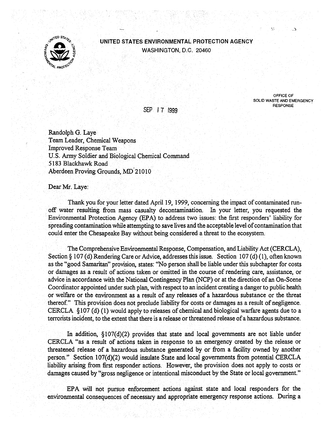

## UNITED STATES ENVIRONMENTAL PROTECTION AGENCY WASHINGTON, D.C. 20460

SOLID WASTE AND EMERGENCY **RESPONSE** 

OFFICE OF

SEP I 7 1999

Randolph G. Laye Team Leader, Chemical Weapons Improved Response Team U.S. Army Soldier and Biological Chemical Command 5183 Blackhawk Road Aberdeen Proving Grounds, MD 21010

Dear Mr. Laye:

Thank you for your letter dated April 19, 1999, concerning the impact of contaminated runoff water resulting from mass casualty decontamination. In your letter, you requested the Environmental Protection Agency (EPA) to address two issues: the first responders' liability for spreading contamination while attempting to save lives and the acceptable level of contamination that could enter the Chesapeake Bay without being considered a threat to the ecosystem.

The Comprehensive Environmental Response, Compensation, and Liability Act (CERCLA), Section § 107 (d) Rendering Care or Advice, addresses this issue. Section 107 (d) (1), often known as the "good Samaritan" provision, states: "No person shall be liable under this subchapter for costs or damages as a result of actions taken or omitted in the course of rendering care, assistance, or advice in accordance with the National Contingency Plan (NCP) or at the direction of an On-Scene Coordinator appointed under such plan, with respect to an incident creating a danger to public health or welfare or the environment as a result of any releases of a hazardous substance or the threat thereof." This provision does not preclude liability for costs or damages as a result of negligence. CERCLA §107 (d) (1) would apply to releases of chemical and biological warfare agents due to a terrorists incident, to the extent that there is a release or threatened release of a hazardous substance.

In addition, §107(d)(2) provides that state and local governments are not liable under CERCLA "as a result of actions taken in response to an emergency created by the release or threatened release of a hazardous substance generated by or from a facility owned by another person." Section 107(d)(2) would insulate State and local governments from potential CERCLA liability arising from first responder actions. However, the provision does not apply to costs or damages caused by "gross negligence or intentional misconduct by the State or local government."

EPA will not pursue enforcement actions against state and local responders for the environmental consequences of necessary and appropriate emergency response actions. During a